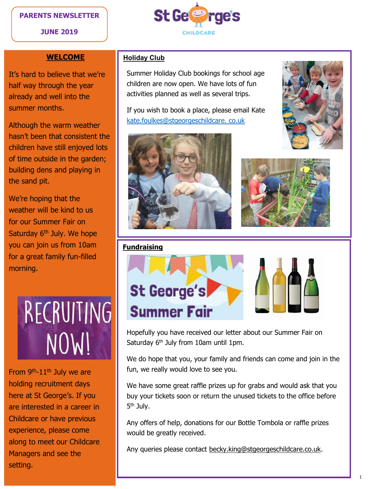#### **PARENTS NEWSLETTER**

#### **JUNE 2019**



#### **WELCOME**

It's hard to believe that we're half way through the year already and well into the summer months.

Although the warm weather hasn't been that consistent the children have still enjoyed lots of time outside in the garden; building dens and playing in the sand pit.

We're hoping that the weather will be kind to us for our Summer Fair on Saturday 6<sup>th</sup> July. We hope you can join us from 10am for a great family fun-filled morning.

# RECRUITING NOW!

From  $9<sup>th</sup>-11<sup>th</sup>$  July we are holding recruitment days here at St George's. If you are interested in a career in Childcare or have previous experience, please come along to meet our Childcare Managers and see the setting.

#### **Holiday Club**

Summer Holiday Club bookings for school age children are now open. We have lots of fun activities planned as well as several trips.

If you wish to book a place, please email Kate [kate.foulkes@stgeorgeschildcare. co.uk](mailto:kate.foulkes@stgeorgeschildcare.%20co.uk)







#### **Fundraising**



Hopefully you have received our letter about our Summer Fair on Saturday 6<sup>th</sup> July from 10am until 1pm.

We do hope that you, your family and friends can come and join in the fun, we really would love to see you.

We have some great raffle prizes up for grabs and would ask that you buy your tickets soon or return the unused tickets to the office before 5<sup>th</sup> July.

Any offers of help, donations for our Bottle Tombola or raffle prizes would be greatly received.

Any queries please contact [becky.king@stgeorgeschildcare.co.uk.](mailto:becky.king@stgeorgeschildcare.co.uk)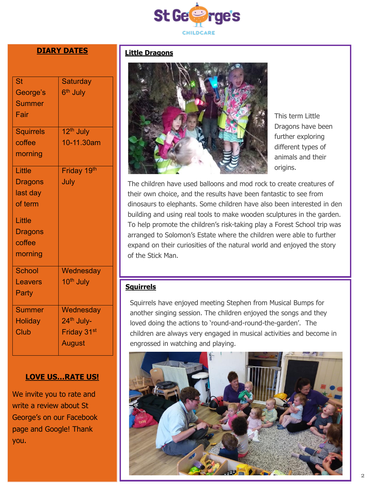

#### **DIARY DATES**

| <b>St</b>        | Saturday                |
|------------------|-------------------------|
| George's         | 6 <sup>th</sup> July    |
| <b>Summer</b>    |                         |
| Fair             |                         |
|                  |                         |
| <b>Squirrels</b> | 12 <sup>th</sup> July   |
| coffee           | 10-11.30am              |
| morning          |                         |
| Little           | Friday 19th             |
| <b>Dragons</b>   | July                    |
| last day         |                         |
| of term          |                         |
|                  |                         |
| Little           |                         |
| <b>Dragons</b>   |                         |
| coffee           |                         |
| morning          |                         |
| <b>School</b>    | Wednesday               |
| <b>Leavers</b>   | 10 <sup>th</sup> July   |
| Party            |                         |
| <b>Summer</b>    | Wednesday               |
| <b>Holiday</b>   | 24 <sup>th</sup> July-  |
| Club             | Friday 31 <sup>st</sup> |
|                  |                         |
|                  | <b>August</b>           |

#### **LOVE US…RATE US!**

We invite you to rate and write a review about St George's on our Facebook page and Google! Thank you.

#### **Little Dragons**



This term Little Dragons have been further exploring different types of animals and their origins.

The children have used balloons and mod rock to create creatures of their own choice, and the results have been fantastic to see from dinosaurs to elephants. Some children have also been interested in den building and using real tools to make wooden sculptures in the garden. To help promote the children's risk-taking play a Forest School trip was arranged to Solomon's Estate where the children were able to further expand on their curiosities of the natural world and enjoyed the story of the Stick Man.

#### **Squirrels**

Squirrels have enjoyed meeting Stephen from Musical Bumps for another singing session. The children enjoyed the songs and they loved doing the actions to 'round-and-round-the-garden'. The children are always very engaged in musical activities and become in engrossed in watching and playing.

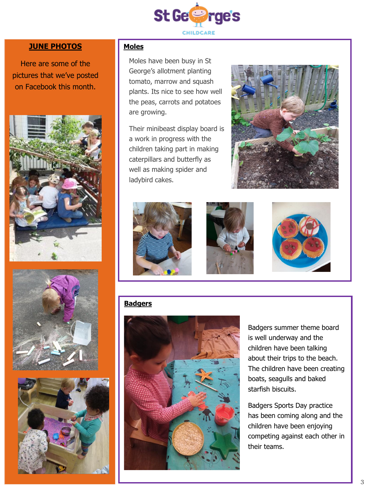

#### **JUNE PHOTOS Moles**

Here are some of the pictures that we've posted on Facebook this month.







Moles have been busy in St George's allotment planting tomato, marrow and squash plants. Its nice to see how well the peas, carrots and potatoes are growing.

Their minibeast display board is a work in progress with the children taking part in making caterpillars and butterfly as well as making spider and ladybird cakes.





### **Badgers**



Badgers summer theme board is well underway and the children have been talking about their trips to the beach. The children have been creating boats, seagulls and baked starfish biscuits.

Badgers Sports Day practice has been coming along and the children have been enjoying competing against each other in their teams.